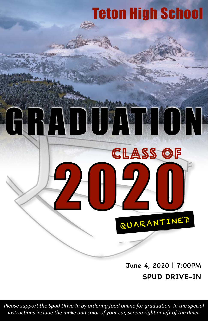# Teton High School

#### June 4, 2020 | 7:00PM **SPUD DRIVE-IN**

QUARANTINED

CLASS OF

DIDATELON

*Please support the Spud Drive-In by ordering food online for graduation. In the special instructions include the make and color of your car, screen right or left of the diner.*

2020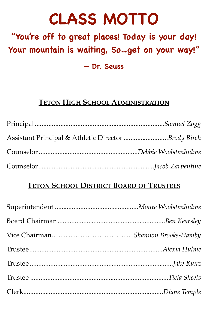# **CLASS MOTTO**

### **"You're off to great places! Today is your day! Your mountain is waiting, So…get on your way!" — Dr. Seuss**

#### **TETON HIGH SCHOOL ADMINISTRATION**

| Assistant Principal & Athletic Director Brody Birch |  |
|-----------------------------------------------------|--|
|                                                     |  |
|                                                     |  |

#### **TETON SCHOOL DISTRICT BOARD OF TRUSTEES**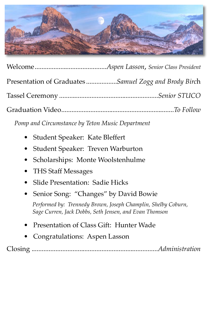

| Presentation of Graduates Samuel Zogg and Brody Birch |
|-------------------------------------------------------|
|                                                       |
|                                                       |

*Pomp and Circumstance by Teton Music Department*

- Student Speaker: Kate Bleffert
- Student Speaker: Treven Warburton
- Scholarships: Monte Woolstenhulme
- THS Staff Messages
- Slide Presentation: Sadie Hicks
- Senior Song: "Changes" by David Bowie

*Performed by: Trennedy Brown, Joseph Champlin, Shelby Coburn, Sage Curren, Jack Dobbs, Seth Jensen, and Evan Thomson*

- Presentation of Class Gift: Hunter Wade
- Congratulations: Aspen Lasson

Closing ..........................................................................*Administration*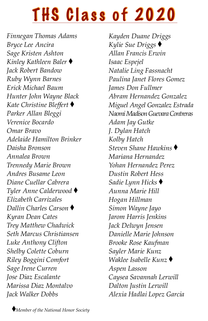# THS Class of 2020

*Finnegan Thomas Adams Bryce Lee Ancira Sage Kristen Ashton Kinley Kathleen Baler Jack Robert Bandow Ruby Wynn Barnes Erick Michael Baum Hunter John Wayne Black Kate Christine Bleffert Parker Allan Bleggi Verenice Bocardo Omar Bravo Adelaide Hamilton Brinker Daisha Bronson Annalea Brown Trennedy Marie Brown Andres Busame Leon Diane Cuellar Cabrera Tyler Anne Calderwood Elizabeth Carrizales Dallin Charles Carson Kyran Dean Cates Trey Matthew Chadwick Seth Marcus Christiansen Luke Anthony Clifton Shelby Colette Coburn Riley Boggini Comfort Sage Irene Curren Jose Diaz Escalante Marissa Diaz Montalvo Jack Walker Dobbs*

*Kayden Duane Driggs Kylie Sue Driggs Allan Francis Erwin Isaac Espejel Natalie Ling Fassnacht Paulina Janet Flores Gomez James Don Fullmer Abram Hernandez Gonzalez Miguel Angel Gonzalez Estrada Naomi Madison Guevara Contreras Adam Jay Gutke J. Dylan Hatch Kolby Hatch Steven Shane Hawkins Mariana Hernandez Yohan Hernandez Perez Dustin Robert Hess Sadie Lynn Hicks Aunna Marie Hill Hogan Hillman Simon Wayne Jayo Jarom Harris Jenkins Jack Delwyn Jensen Danielle Marie Johnson Brooke Rose Kaufman Sayler Marie Kunz Waklee Isabelle Kunz Aspen Lasson Caysea Savannah Lerwill Dalton Justin Lerwill Alexia Hadlai Lopez Garcia*

*Member of the National Honor Society*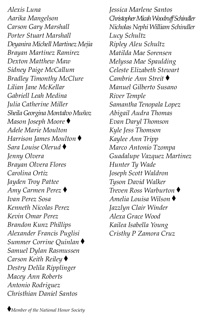*Alexis Luna Aarika Mangelson Carson Gary Marshall Porter Stuart Marshall Deyanira Michell Martinez Mejia Brayan Martinez Ramirez Dexton Matthew Maw Sidney Paige McCallum Bradley Timonthy McClure Lilian Jane McKellar Gabriell Leah Medina Julia Catherine Miller Sheila Georgina Montalvo Muñoz Mason Joseph Moore Adele Marie Moulton Harrison James Moulton Sara Louise Olerud Jenny Olvera Brayan Olvera Flores Carolina Ortiz Jayden Troy Pattee Amy Carmen Perez Ivan Perez Sosa Kenneth Nicolas Perez Kevin Omar Perez Brandon Kunz Phillips Alexander Francis Puglisi Summer Corrine Quinlan Samuel Dylan Rasmussen Carson Keith Reiley Destry Delila Ripplinger Macey Ann Roberts Antonio Rodriguez Christhian Daniel Santos*

*Jessica Marlene Santos Christopher Micah Woodruff Schindler Nicholas Nephi William Schindler Lucy Schultz Ripley Aleu Schultz Matilda Mae Sorensen Melyssa Mae Spaulding Celeste Elizabeth Stewart Cambrie Ann Streit Manuel Gilberto Susano River Temple Samantha Tenopala Lopez Abigail Audra Thomas Evan Daryl Thomson Kyle Jess Thomson Kaylee Ann Tripp Marco Antonio Tzompa Guadalupe Vazquez Martinez Hunter Ty Wade Joseph Scott Waldron Tyson David Walker Treven Ross Warburton Amelia Louisa Wilson Jazzlyn Clair Winder Alexa Grace Wood Kailea Isabella Young Cristhy P Zamora Cruz*

*Member of the National Honor Society*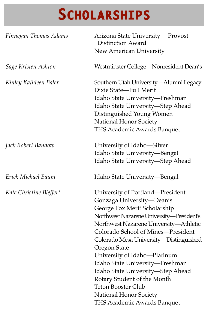| Finnegan Thomas Adams   | Arizona State University-Provost<br><b>Distinction Award</b><br>New American University                                                                                                                                                                                                                                                                                                                                                                                                                           |
|-------------------------|-------------------------------------------------------------------------------------------------------------------------------------------------------------------------------------------------------------------------------------------------------------------------------------------------------------------------------------------------------------------------------------------------------------------------------------------------------------------------------------------------------------------|
| Sage Kristen Ashton     | Westminster College-Nonresident Dean's                                                                                                                                                                                                                                                                                                                                                                                                                                                                            |
| Kinley Kathleen Baler   | Southern Utah University-Alumni Legacy<br>Dixie State-Full Merit<br>Idaho State University-Freshman<br>Idaho State University—Step Ahead<br>Distinguished Young Women<br>National Honor Society<br><b>THS Academic Awards Banquet</b>                                                                                                                                                                                                                                                                             |
| Jack Robert Bandow      | University of Idaho—Silver<br>Idaho State University-Bengal<br>Idaho State University—Step Ahead                                                                                                                                                                                                                                                                                                                                                                                                                  |
| Erick Michael Baum      | Idaho State University—Bengal                                                                                                                                                                                                                                                                                                                                                                                                                                                                                     |
| Kate Christine Bleffert | University of Portland—President<br>Gonzaga University-Dean's<br>George Fox Merit Scholarship<br>Northwest Nazarene University-President's<br>Northwest Nazarene University-Athletic<br>Colorado School of Mines-President<br>Colorado Mesa University—Distinguished<br>Oregon State<br>University of Idaho-Platinum<br>Idaho State University—Freshman<br>Idaho State University-Step Ahead<br>Rotary Student of the Month<br><b>Teton Booster Club</b><br>National Honor Society<br>THS Academic Awards Banquet |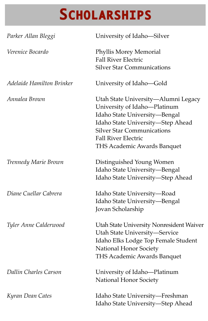| Parker Allan Bleggi       | University of Idaho-Silver                                                                                                                                                                                                                  |
|---------------------------|---------------------------------------------------------------------------------------------------------------------------------------------------------------------------------------------------------------------------------------------|
| Verenice Bocardo          | Phyllis Morey Memorial<br><b>Fall River Electric</b><br><b>Silver Star Communications</b>                                                                                                                                                   |
| Adelaide Hamilton Brinker | University of Idaho-Gold                                                                                                                                                                                                                    |
| Annalea Brown             | Utah State University—Alumni Legacy<br>University of Idaho-Platinum<br>Idaho State University-Bengal<br>Idaho State University-Step Ahead<br><b>Silver Star Communications</b><br><b>Fall River Electric</b><br>THS Academic Awards Banquet |
| Trennedy Marie Brown      | Distinguished Young Women<br>Idaho State University-Bengal<br>Idaho State University-Step Ahead                                                                                                                                             |
| Diane Cuellar Cabrera     | Idaho State University-Road<br>Idaho State University-Bengal<br>Jovan Scholarship                                                                                                                                                           |
| Tyler Anne Calderwood     | Utah State University Nonresident Waiver<br>Utah State University-Service<br>Idaho Elks Lodge Top Female Student<br>National Honor Society<br><b>THS Academic Awards Banquet</b>                                                            |
| Dallin Charles Carson     | University of Idaho-Platinum<br>National Honor Society                                                                                                                                                                                      |
| Kyran Dean Cates          | Idaho State University—Freshman<br>Idaho State University-Step Ahead                                                                                                                                                                        |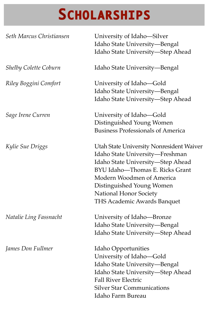| Seth Marcus Christiansen     | University of Idaho-Silver<br>Idaho State University-Bengal<br>Idaho State University-Step Ahead                                                                                                                                                                              |
|------------------------------|-------------------------------------------------------------------------------------------------------------------------------------------------------------------------------------------------------------------------------------------------------------------------------|
| <b>Shelby Colette Coburn</b> | Idaho State University—Bengal                                                                                                                                                                                                                                                 |
| Riley Boggini Comfort        | University of Idaho—Gold<br>Idaho State University-Bengal<br>Idaho State University-Step Ahead                                                                                                                                                                                |
| Sage Irene Curren            | University of Idaho—Gold<br>Distinguished Young Women<br><b>Business Professionals of America</b>                                                                                                                                                                             |
| Kylie Sue Driggs             | Utah State University Nonresident Waiver<br>Idaho State University-Freshman<br>Idaho State University-Step Ahead<br>BYU Idaho-Thomas E. Ricks Grant<br>Modern Woodmen of America<br>Distinguished Young Women<br>National Honor Society<br><b>THS Academic Awards Banquet</b> |
| Natalie Ling Fassnacht       | University of Idaho-Bronze<br>Idaho State University-Bengal<br>Idaho State University—Step Ahead                                                                                                                                                                              |
| James Don Fullmer            | Idaho Opportunities<br>University of Idaho-Gold<br>Idaho State University-Bengal<br>Idaho State University—Step Ahead<br><b>Fall River Electric</b><br><b>Silver Star Communications</b><br>Idaho Farm Bureau                                                                 |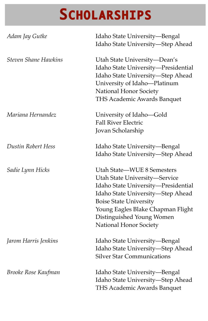| Adam Jay Gutke       | Idaho State University-Bengal<br>Idaho State University-Step Ahead                                                                                                                                                                                                   |
|----------------------|----------------------------------------------------------------------------------------------------------------------------------------------------------------------------------------------------------------------------------------------------------------------|
| Steven Shane Hawkins | Utah State University-Dean's<br>Idaho State University-Presidential<br>Idaho State University-Step Ahead<br>University of Idaho-Platinum<br>National Honor Society<br>THS Academic Awards Banquet                                                                    |
| Mariana Hernandez    | University of Idaho-Gold<br><b>Fall River Electric</b><br>Jovan Scholarship                                                                                                                                                                                          |
| Dustin Robert Hess   | Idaho State University—Bengal<br>Idaho State University-Step Ahead                                                                                                                                                                                                   |
| Sadie Lynn Hicks     | Utah State-WUE 8 Semesters<br>Utah State University-Service<br>Idaho State University-Presidential<br>Idaho State University-Step Ahead<br><b>Boise State University</b><br>Young Eagles Blake Chapman Flight<br>Distinguished Young Women<br>National Honor Society |
| Jarom Harris Jenkins | Idaho State University-Bengal<br>Idaho State University-Step Ahead<br><b>Silver Star Communications</b>                                                                                                                                                              |
| Brooke Rose Kaufman  | Idaho State University-Bengal<br>Idaho State University-Step Ahead<br>THS Academic Awards Banquet                                                                                                                                                                    |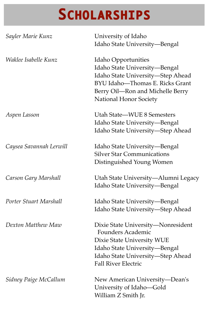| Sayler Marie Kunz       | University of Idaho<br>Idaho State University-Bengal                                                                                                                                             |
|-------------------------|--------------------------------------------------------------------------------------------------------------------------------------------------------------------------------------------------|
| Waklee Isabelle Kunz    | Idaho Opportunities<br>Idaho State University-Bengal<br>Idaho State University-Step Ahead<br>BYU Idaho-Thomas E. Ricks Grant<br>Berry Oil-Ron and Michelle Berry<br>National Honor Society       |
| Aspen Lasson            | Utah State-WUE 8 Semesters<br>Idaho State University-Bengal<br>Idaho State University-Step Ahead                                                                                                 |
| Caysea Savannah Lerwill | Idaho State University-Bengal<br><b>Silver Star Communications</b><br>Distinguished Young Women                                                                                                  |
| Carson Gary Marshall    | Utah State University-Alumni Legacy<br>Idaho State University-Bengal                                                                                                                             |
| Porter Stuart Marshall  | Idaho State University-Bengal<br>Idaho State University-Step Ahead                                                                                                                               |
| Dexton Matthew Maw      | Dixie State University-Nonresident<br><b>Founders Academic</b><br>Dixie State University WUE<br>Idaho State University-Bengal<br>Idaho State University-Step Ahead<br><b>Fall River Electric</b> |
| Sidney Paige McCallum   | New American University-Dean's<br>University of Idaho-Gold<br>William Z Smith Jr.                                                                                                                |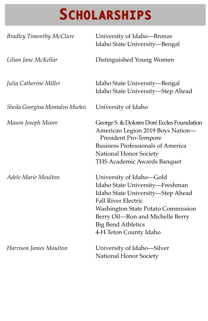| <b>Bradley Timonthy McClure</b> | University of Idaho-Bronze<br>Idaho State University—Bengal                                                                                                                                                                                                            |
|---------------------------------|------------------------------------------------------------------------------------------------------------------------------------------------------------------------------------------------------------------------------------------------------------------------|
| Lilian Jane McKellar            | Distinguished Young Women                                                                                                                                                                                                                                              |
| Julia Catherine Miller          | Idaho State University—Bengal<br>Idaho State University-Step Ahead                                                                                                                                                                                                     |
| Sheila Georgina Montalvo Muñoz  | University of Idaho                                                                                                                                                                                                                                                    |
| Mason Joseph Moore              | George S. & Dolores Doré Eccles Foundation<br>American Legion 2019 Boys Nation-<br>President Pro-Tempore<br><b>Business Professionals of America</b><br>National Honor Society<br><b>THS Academic Awards Banquet</b>                                                   |
| Adele Marie Moulton             | University of Idaho-Gold<br>Idaho State University-Freshman<br>Idaho State University-Step Ahead<br><b>Fall River Electric</b><br><b>Washington State Potato Commission</b><br>Berry Oil-Ron and Michelle Berry<br><b>Big Bend Athletics</b><br>4-H Teton County Idaho |
| Harrison James Moulton          | University of Idaho-Silver<br>National Honor Society                                                                                                                                                                                                                   |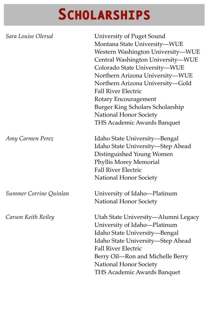| Sara Louise Olerud     | University of Puget Sound<br>Montana State University-WUE<br>Western Washington University-WUE<br>Central Washington University-WUE<br>Colorado State University-WUE<br>Northern Arizona University-WUE<br>Northern Arizona University-Gold<br><b>Fall River Electric</b><br>Rotary Encouragement<br>Burger King Scholars Scholarship<br>National Honor Society<br>THS Academic Awards Banquet |
|------------------------|------------------------------------------------------------------------------------------------------------------------------------------------------------------------------------------------------------------------------------------------------------------------------------------------------------------------------------------------------------------------------------------------|
| Amy Carmen Perez       | Idaho State University-Bengal<br>Idaho State University-Step Ahead<br>Distinguished Young Women<br>Phyllis Morey Memorial<br><b>Fall River Electric</b><br>National Honor Society                                                                                                                                                                                                              |
| Summer Corrine Quinlan | University of Idaho-Platinum<br>National Honor Society                                                                                                                                                                                                                                                                                                                                         |
| Carson Keith Reiley    | Utah State University-Alumni Legacy<br>University of Idaho-Platinum<br>Idaho State University-Bengal<br>Idaho State University-Step Ahead<br><b>Fall River Electric</b><br>Berry Oil—Ron and Michelle Berry<br>National Honor Society<br>THS Academic Awards Banquet                                                                                                                           |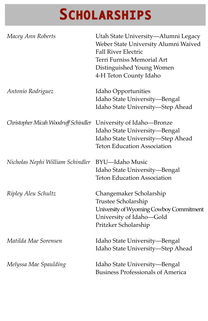| Macey Ann Roberts                                               | Utah State University-Alumni Legacy<br>Weber State University Alumni Waived<br><b>Fall River Electric</b><br>Terri Furniss Memorial Art<br>Distinguished Young Women<br>4-H Teton County Idaho |
|-----------------------------------------------------------------|------------------------------------------------------------------------------------------------------------------------------------------------------------------------------------------------|
| Antonio Rodriguez                                               | Idaho Opportunities<br>Idaho State University-Bengal<br>Idaho State University-Step Ahead                                                                                                      |
| Christopher Micah Woodruff Schindler University of Idaho-Bronze | Idaho State University-Bengal<br>Idaho State University-Step Ahead<br><b>Teton Education Association</b>                                                                                       |
| Nicholas Nephi William Schindler                                | <b>BYU-Idaho Music</b><br>Idaho State University—Bengal<br><b>Teton Education Association</b>                                                                                                  |
| Ripley Aleu Schultz                                             | Changemaker Scholarship<br>Trustee Scholarship<br>University of Wyoming Cowboy Commitment<br>University of Idaho-Gold<br>Pritzker Scholarship                                                  |
| Matilda Mae Sorensen                                            | Idaho State University—Bengal<br>Idaho State University-Step Ahead                                                                                                                             |
| Melyssa Mae Spaulding                                           | Idaho State University-Bengal<br><b>Business Professionals of America</b>                                                                                                                      |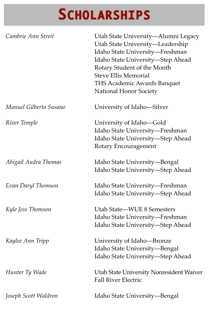| Cambrie Ann Streit     | Utah State University-Alumni Legacy<br>Utah State University-Leadership<br>Idaho State University-Freshman<br>Idaho State University-Step Ahead<br>Rotary Student of the Month<br><b>Steve Ellis Memorial</b><br>THS Academic Awards Banquet<br>National Honor Society |
|------------------------|------------------------------------------------------------------------------------------------------------------------------------------------------------------------------------------------------------------------------------------------------------------------|
| Manuel Gilberto Susano | University of Idaho-Silver                                                                                                                                                                                                                                             |
| River Temple           | University of Idaho-Gold<br>Idaho State University-Freshman<br>Idaho State University-Step Ahead<br>Rotary Encouragement                                                                                                                                               |
| Abigail Audra Thomas   | Idaho State University-Bengal<br>Idaho State University-Step Ahead                                                                                                                                                                                                     |
| Evan Daryl Thomson     | Idaho State University—Freshman<br>Idaho State University-Step Ahead                                                                                                                                                                                                   |
| Kyle Jess Thomson      | Utah State-WUE 8 Semesters<br>Idaho State University-Freshman<br>Idaho State University-Step Ahead                                                                                                                                                                     |
| Kaylee Ann Tripp       | University of Idaho-Bronze<br>Idaho State University-Bengal<br>Idaho State University-Step Ahead                                                                                                                                                                       |
| Hunter Ty Wade         | Utah State University Nonresident Waiver<br><b>Fall River Electric</b>                                                                                                                                                                                                 |
| Joseph Scott Waldron   | Idaho State University—Bengal                                                                                                                                                                                                                                          |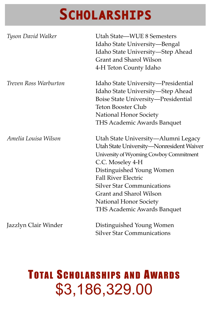| Tyson David Walker           | Utah State—WUE 8 Semesters<br>Idaho State University-Bengal<br>Idaho State University-Step Ahead<br>Grant and Sharol Wilson<br>4-H Teton County Idaho                                                                                                                                                                              |
|------------------------------|------------------------------------------------------------------------------------------------------------------------------------------------------------------------------------------------------------------------------------------------------------------------------------------------------------------------------------|
| <i>Treven Ross Warburton</i> | Idaho State University—Presidential<br>Idaho State University-Step Ahead<br>Boise State University-Presidential<br><b>Teton Booster Club</b><br>National Honor Society<br>THS Academic Awards Banquet                                                                                                                              |
| Amelia Louisa Wilson         | Utah State University—Alumni Legacy<br>Utah State University-Nonresident Waiver<br>University of Wyoming Cowboy Commitment<br>C.C. Moseley 4-H<br>Distinguished Young Women<br><b>Fall River Electric</b><br><b>Silver Star Communications</b><br>Grant and Sharol Wilson<br>National Honor Society<br>THS Academic Awards Banquet |
| Jazzlyn Clair Winder         | Distinguished Young Women                                                                                                                                                                                                                                                                                                          |

### TOTAL SCHOLARSHIPS AND AWARDS \$3,186,329.00

Silver Star Communications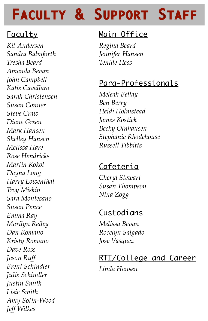### FACULTY & SUPPORT STAFF

### Faculty

*Kit Andersen Sandra Balmforth Tresha Beard Amanda Bevan John Campbell Katie Cavallaro Sarah Christensen Susan Conner Steve Craw Diane Green Mark Hansen Shelley Hansen Melissa Hare Rose Hendricks Martin Kokol Dayna Long Harry Lowenthal Troy Miskin Sara Montesano Susan Pence Emma Ray Marilyn Reiley Dan Romano Kristy Romano Dave Ross Jason Ruff Brent Schindler Julie Schindler Justin Smith Lisie Smith Amy Sotin-Wood Jeff Wilkes*

#### Main Office

*Regina Beard Jennifer Hansen Tenille Hess*

#### Para-Professionals

*Meleah Bellay Ben Berry Heidi Holmstead James Kostick Becky Olnhausen Stephanie Rhodehouse Russell Tibbitts*

#### Cafeteria

*Cheryl Stewart Susan Thompson Nina Zogg*

#### Custodians

*Melissa Bevan Rocelyn Salgado Jose Vasquez*

#### RTI/College and Career

*Linda Hansen*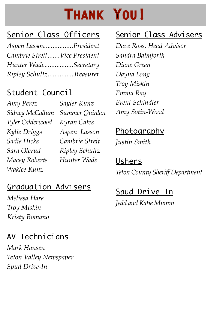### **THANK YOU!**

### Senior Class Officers

*Aspen Lasson .................President Cambrie Streit ....... Vice President Hunter Wade..................Secretary*  $Ripley$  *Schultz................Treasurer* 

### Student Council

*Amy Perez Sidney McCallum Tyler Calderwood Kylie Driggs Sadie Hicks Sara Olerud Macey Roberts Hunter WadeWaklee Kunz Sayler Kunz Summer Quinlan Kyran Cates Aspen Lasson Cambrie Streit Ripley Schultz*

### Graduation Advisers

*Melissa Hare Troy Miskin Kristy Romano*

### AV Technicians

*Mark Hansen Teton Valley Newspaper Spud Drive-In*

#### Senior Class Advisers

*Dave Ross, Head Advisor Sandra Balmforth Diane Green Dayna Long Troy Miskin Emma Ray Brent Schindler Amy Sotin-Wood*

#### <u>Photography</u>

*Justin Smith*

Ushers *Teton County Sheriff Department*

### Spud Drive-In *Jedd and Katie Mumm*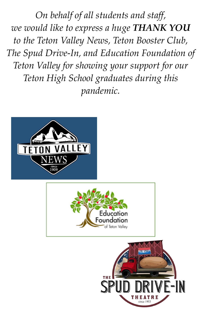*On behalf of all students and staff, we would like to express a huge THANK YOU to the Teton Valley News, Teton Booster Club, The Spud Drive-In, and Education Foundation of Teton Valley for showing your support for our Teton High School graduates during this pandemic.*